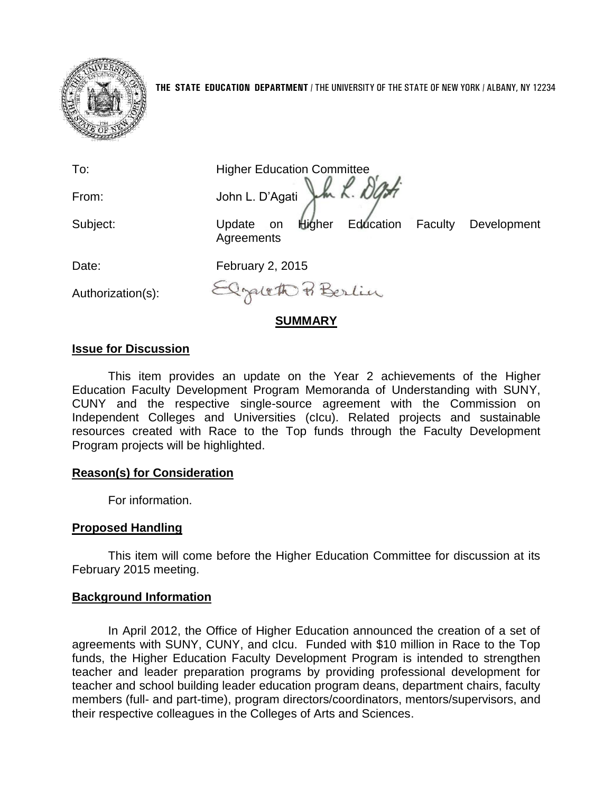

To: Higher Education Committee<br>From: John L. D'Agati L. Also From: John L. D'Agati Subject: Update on Higher Education Faculty Development **Agreements** Date: February 2, 2015 - Izgrett P Berlin Authorization(s):

#### **SUMMARY**

## **Issue for Discussion**

This item provides an update on the Year 2 achievements of the Higher Education Faculty Development Program Memoranda of Understanding with SUNY, CUNY and the respective single-source agreement with the Commission on Independent Colleges and Universities (cIcu). Related projects and sustainable resources created with Race to the Top funds through the Faculty Development Program projects will be highlighted.

#### **Reason(s) for Consideration**

For information.

#### **Proposed Handling**

This item will come before the Higher Education Committee for discussion at its February 2015 meeting.

## **Background Information**

In April 2012, the Office of Higher Education announced the creation of a set of agreements with SUNY, CUNY, and cIcu. Funded with \$10 million in Race to the Top funds, the Higher Education Faculty Development Program is intended to strengthen teacher and leader preparation programs by providing professional development for teacher and school building leader education program deans, department chairs, faculty members (full- and part-time), program directors/coordinators, mentors/supervisors, and their respective colleagues in the Colleges of Arts and Sciences.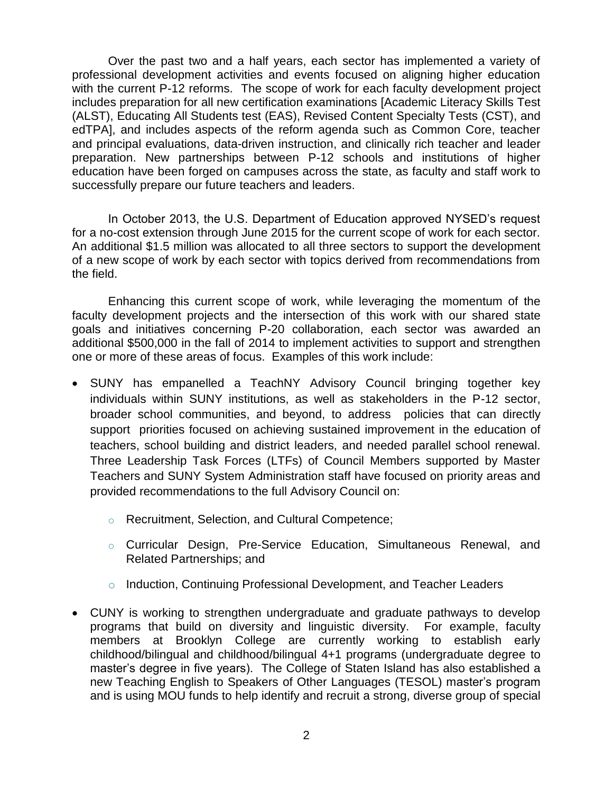Over the past two and a half years, each sector has implemented a variety of professional development activities and events focused on aligning higher education with the current P-12 reforms. The scope of work for each faculty development project includes preparation for all new certification examinations [Academic Literacy Skills Test (ALST), Educating All Students test (EAS), Revised Content Specialty Tests (CST), and edTPA], and includes aspects of the reform agenda such as Common Core, teacher and principal evaluations, data-driven instruction, and clinically rich teacher and leader preparation. New partnerships between P-12 schools and institutions of higher education have been forged on campuses across the state, as faculty and staff work to successfully prepare our future teachers and leaders.

In October 2013, the U.S. Department of Education approved NYSED's request for a no-cost extension through June 2015 for the current scope of work for each sector. An additional \$1.5 million was allocated to all three sectors to support the development of a new scope of work by each sector with topics derived from recommendations from the field.

Enhancing this current scope of work, while leveraging the momentum of the faculty development projects and the intersection of this work with our shared state goals and initiatives concerning P-20 collaboration, each sector was awarded an additional \$500,000 in the fall of 2014 to implement activities to support and strengthen one or more of these areas of focus. Examples of this work include:

- SUNY has empanelled a TeachNY Advisory Council bringing together key individuals within SUNY institutions, as well as stakeholders in the P-12 sector, broader school communities, and beyond, to address policies that can directly support priorities focused on achieving sustained improvement in the education of teachers, school building and district leaders, and needed parallel school renewal. Three Leadership Task Forces (LTFs) of Council Members supported by Master Teachers and SUNY System Administration staff have focused on priority areas and provided recommendations to the full Advisory Council on:
	- o Recruitment, Selection, and Cultural Competence;
	- o Curricular Design, Pre-Service Education, Simultaneous Renewal, and Related Partnerships; and
	- o Induction, Continuing Professional Development, and Teacher Leaders
- CUNY is working to strengthen undergraduate and graduate pathways to develop programs that build on diversity and linguistic diversity. For example, faculty members at Brooklyn College are currently working to establish early childhood/bilingual and childhood/bilingual 4+1 programs (undergraduate degree to master's degree in five years). The College of Staten Island has also established a new Teaching English to Speakers of Other Languages (TESOL) master's program and is using MOU funds to help identify and recruit a strong, diverse group of special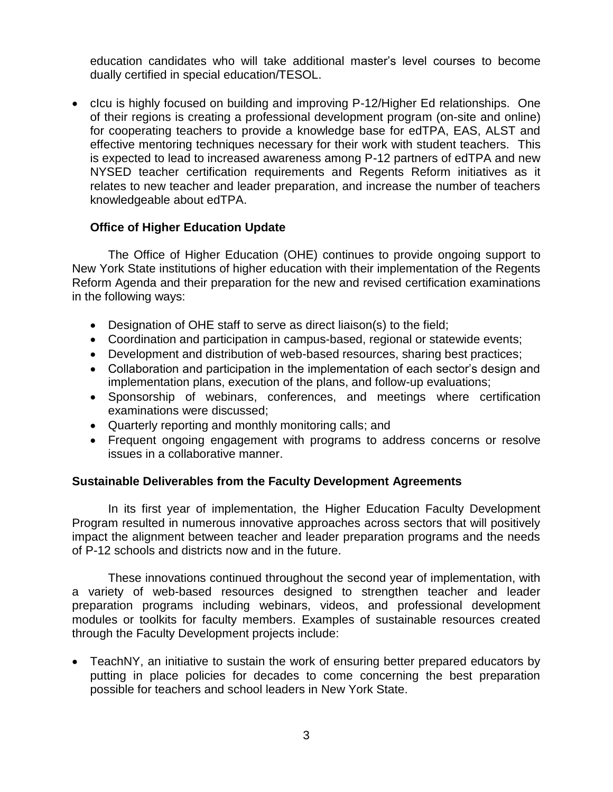education candidates who will take additional master's level courses to become dually certified in special education/TESOL.

• clcu is highly focused on building and improving P-12/Higher Ed relationships. One of their regions is creating a professional development program (on-site and online) for cooperating teachers to provide a knowledge base for edTPA, EAS, ALST and effective mentoring techniques necessary for their work with student teachers. This is expected to lead to increased awareness among P-12 partners of edTPA and new NYSED teacher certification requirements and Regents Reform initiatives as it relates to new teacher and leader preparation, and increase the number of teachers knowledgeable about edTPA.

# **Office of Higher Education Update**

The Office of Higher Education (OHE) continues to provide ongoing support to New York State institutions of higher education with their implementation of the Regents Reform Agenda and their preparation for the new and revised certification examinations in the following ways:

- Designation of OHE staff to serve as direct liaison(s) to the field;
- Coordination and participation in campus-based, regional or statewide events;
- Development and distribution of web-based resources, sharing best practices;
- Collaboration and participation in the implementation of each sector's design and implementation plans, execution of the plans, and follow-up evaluations;
- Sponsorship of webinars, conferences, and meetings where certification examinations were discussed;
- Quarterly reporting and monthly monitoring calls; and
- Frequent ongoing engagement with programs to address concerns or resolve issues in a collaborative manner.

## **Sustainable Deliverables from the Faculty Development Agreements**

In its first year of implementation, the Higher Education Faculty Development Program resulted in numerous innovative approaches across sectors that will positively impact the alignment between teacher and leader preparation programs and the needs of P-12 schools and districts now and in the future.

These innovations continued throughout the second year of implementation, with a variety of web-based resources designed to strengthen teacher and leader preparation programs including webinars, videos, and professional development modules or toolkits for faculty members. Examples of sustainable resources created through the Faculty Development projects include:

 TeachNY, an initiative to sustain the work of ensuring better prepared educators by putting in place policies for decades to come concerning the best preparation possible for teachers and school leaders in New York State.